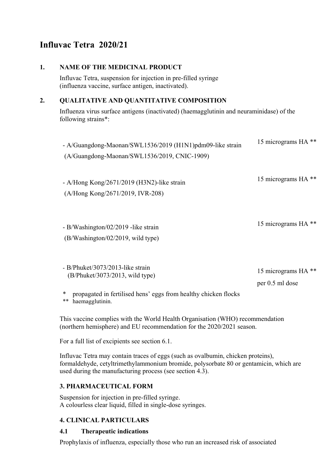# **Influvac Tetra 2020/21**

### **1. NAME OF THE MEDICINAL PRODUCT**

Influvac Tetra, suspension for injection in pre-filled syringe (influenza vaccine, surface antigen, inactivated).

### **2. QUALITATIVE AND QUANTITATIVE COMPOSITION**

Influenza virus surface antigens (inactivated) (haemagglutinin and neuraminidase) of the following strains\*:

| - A/Guangdong-Maonan/SWL1536/2019 (H1N1)pdm09-like strain<br>(A/Guangdong-Maonan/SWL1536/2019, CNIC-1909)                                                            | 15 micrograms HA <sup>**</sup>                    |
|----------------------------------------------------------------------------------------------------------------------------------------------------------------------|---------------------------------------------------|
| - A/Hong Kong/2671/2019 (H3N2)-like strain<br>(A/Hong Kong/2671/2019, IVR-208)                                                                                       | 15 micrograms HA <sup>**</sup>                    |
| - B/Washington/02/2019 -like strain<br>(B/Washington/02/2019, wild type)                                                                                             | 15 micrograms HA <sup>**</sup>                    |
| - B/Phuket/3073/2013-like strain<br>(B/Phuket/3073/2013, wild type)<br>∗<br>propagated in fertilised hens' eggs from healthy chicken flocks<br>haemagglutinin.<br>** | 15 micrograms HA <sup>**</sup><br>per 0.5 ml dose |

This vaccine complies with the World Health Organisation (WHO) recommendation (northern hemisphere) and EU recommendation for the 2020/2021 season.

For a full list of excipients see section 6.1.

Influvac Tetra may contain traces of eggs (such as ovalbumin, chicken proteins), formaldehyde, cetyltrimethylammonium bromide, polysorbate 80 or gentamicin, which are used during the manufacturing process (see section 4.3).

## **3. PHARMACEUTICAL FORM**

Suspension for injection in pre-filled syringe. A colourless clear liquid, filled in single-dose syringes.

## **4. CLINICAL PARTICULARS**

## **4.1 Therapeutic indications**

Prophylaxis of influenza, especially those who run an increased risk of associated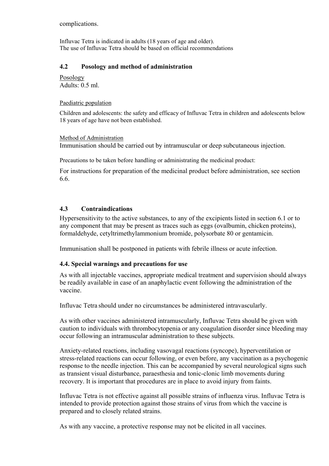complications.

Influvac Tetra is indicated in adults (18 years of age and older). The use of Influvac Tetra should be based on official recommendations

## **4.2 Posology and method of administration**

Posology Adults: 0.5 ml.

#### Paediatric population

Children and adolescents: the safety and efficacy of Influvac Tetra in children and adolescents below 18 years of age have not been established.

#### Method of Administration

Immunisation should be carried out by intramuscular or deep subcutaneous injection.

Precautions to be taken before handling or administrating the medicinal product:

For instructions for preparation of the medicinal product before administration, see section 6.6.

## **4.3 Contraindications**

Hypersensitivity to the active substances, to any of the excipients listed in section 6.1 or to any component that may be present as traces such as eggs (ovalbumin, chicken proteins), formaldehyde, cetyltrimethylammonium bromide, polysorbate 80 or gentamicin.

Immunisation shall be postponed in patients with febrile illness or acute infection.

#### **4.4. Special warnings and precautions for use**

As with all injectable vaccines, appropriate medical treatment and supervision should always be readily available in case of an anaphylactic event following the administration of the vaccine.

Influvac Tetra should under no circumstances be administered intravascularly.

As with other vaccines administered intramuscularly, Influvac Tetra should be given with caution to individuals with thrombocytopenia or any coagulation disorder since bleeding may occur following an intramuscular administration to these subjects.

Anxiety-related reactions, including vasovagal reactions (syncope), hyperventilation or stress-related reactions can occur following, or even before, any vaccination as a psychogenic response to the needle injection. This can be accompanied by several neurological signs such as transient visual disturbance, paraesthesia and tonic-clonic limb movements during recovery. It is important that procedures are in place to avoid injury from faints.

Influvac Tetra is not effective against all possible strains of influenza virus. Influvac Tetra is intended to provide protection against those strains of virus from which the vaccine is prepared and to closely related strains.

As with any vaccine, a protective response may not be elicited in all vaccines.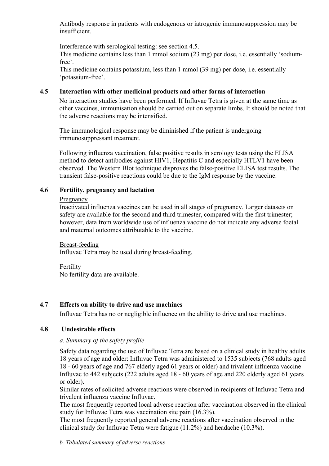Antibody response in patients with endogenous or iatrogenic immunosuppression may be insufficient.

Interference with serological testing: see section 4.5.

This medicine contains less than 1 mmol sodium (23 mg) per dose, i.e. essentially 'sodiumfree'.

This medicine contains potassium, less than 1 mmol (39 mg) per dose, i.e. essentially 'potassium-free'.

## **4.5 Interaction with other medicinal products and other forms of interaction**

No interaction studies have been performed. If Influvac Tetra is given at the same time as other vaccines, immunisation should be carried out on separate limbs. It should be noted that the adverse reactions may be intensified.

The immunological response may be diminished if the patient is undergoing immunosuppressant treatment.

Following influenza vaccination, false positive results in serology tests using the ELISA method to detect antibodies against HIV1, Hepatitis C and especially HTLV1 have been observed. The Western Blot technique disproves the false-positive ELISA test results. The transient false-positive reactions could be due to the IgM response by the vaccine.

## **4.6 Fertility, pregnancy and lactation**

#### Pregnancy

Inactivated influenza vaccines can be used in all stages of pregnancy. Larger datasets on safety are available for the second and third trimester, compared with the first trimester; however, data from worldwide use of influenza vaccine do not indicate any adverse foetal and maternal outcomes attributable to the vaccine.

#### Breast-feeding

Influvac Tetra may be used during breast-feeding.

#### Fertility No fertility data are available.

## **4.7 Effects on ability to drive and use machines**

Influvac Tetra has no or negligible influence on the ability to drive and use machines.

## **4.8 Undesirable effects**

## *a. Summary of the safety profile*

Safety data regarding the use of Influvac Tetra are based on a clinical study in healthy adults 18 years of age and older: Influvac Tetra was administered to 1535 subjects (768 adults aged 18 - 60 years of age and 767 elderly aged 61 years or older) and trivalent influenza vaccine Influvac to 442 subjects (222 adults aged 18 - 60 years of age and 220 elderly aged 61 years or older).

Similar rates of solicited adverse reactions were observed in recipients of Influvac Tetra and trivalent influenza vaccine Influvac.

The most frequently reported local adverse reaction after vaccination observed in the clinical study for Influvac Tetra was vaccination site pain (16.3%)*.*

The most frequently reported general adverse reactions after vaccination observed in the clinical study for Influvac Tetra were fatigue (11.2%) and headache (10.3%).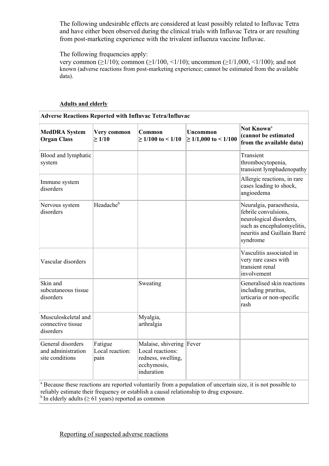The following undesirable effects are considered at least possibly related to Influvac Tetra and have either been observed during the clinical trials with Influvac Tetra or are resulting from post-marketing experience with the trivalent influenza vaccine Influvac.

The following frequencies apply:

very common ( $\geq 1/10$ ); common ( $\geq 1/100$ , <1/10); uncommon ( $\geq 1/1,000$ , <1/100); and not known (adverse reactions from post-marketing experience; cannot be estimated from the available data).

#### **Adults and elderly**

| <b>Adverse Reactions Reported with Influvac Tetra/Influvac</b> |                                    |                                                                                                 |                                              |                                                                                                                                                      |
|----------------------------------------------------------------|------------------------------------|-------------------------------------------------------------------------------------------------|----------------------------------------------|------------------------------------------------------------------------------------------------------------------------------------------------------|
| <b>MedDRA</b> System<br><b>Organ Class</b>                     | Very common<br>$\geq 1/10$         | Common<br>$\geq$ 1/100 to < 1/10                                                                | <b>Uncommon</b><br>$\geq 1/1,000$ to < 1/100 | Not Known <sup>a</sup><br>(cannot be estimated<br>from the available data)                                                                           |
| Blood and lymphatic<br>system                                  |                                    |                                                                                                 |                                              | Transient<br>thrombocytopenia,<br>transient lymphadenopathy                                                                                          |
| Immune system<br>disorders                                     |                                    |                                                                                                 |                                              | Allergic reactions, in rare<br>cases leading to shock,<br>angioedema                                                                                 |
| Nervous system<br>disorders                                    | Headache <sup>b</sup>              |                                                                                                 |                                              | Neuralgia, paraesthesia,<br>febrile convulsions,<br>neurological disorders,<br>such as encephalomyelitis,<br>neuritis and Guillain Barré<br>syndrome |
| Vascular disorders                                             |                                    |                                                                                                 |                                              | Vasculitis associated in<br>very rare cases with<br>transient renal<br>involvement                                                                   |
| Skin and<br>subcutaneous tissue<br>disorders                   |                                    | Sweating                                                                                        |                                              | Generalised skin reactions<br>including pruritus,<br>urticaria or non-specific<br>rash                                                               |
| Musculoskeletal and<br>connective tissue<br>disorders          |                                    | Myalgia,<br>arthralgia                                                                          |                                              |                                                                                                                                                      |
| General disorders<br>and administration<br>site conditions     | Fatigue<br>Local reaction:<br>pain | Malaise, shivering Fever<br>Local reactions:<br>redness, swelling,<br>ecchymosis,<br>induration |                                              |                                                                                                                                                      |

 $\alpha$  Because these reactions are reported voluntarily from a population of uncertain size, it is not possible to reliably estimate their frequency or establish a causal relationship to drug exposure.  $<sup>b</sup>$  In elderly adults ( $\geq 61$  years) reported as common</sup>

## Reporting of suspected adverse reactions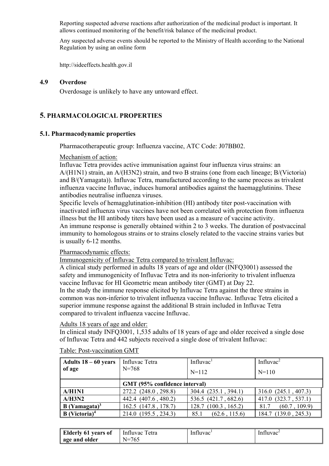Reporting suspected adverse reactions after authorization of the medicinal product is important. It allows continued monitoring of the benefit/risk balance of the medicinal product.

Any suspected adverse events should be reported to the Ministry of Health according to the National Regulation by using an online form

http://sideeffects.health.gov.il

#### **4.9 Overdose**

Overdosage is unlikely to have any untoward effect.

# **5. PHARMACOLOGICAL PROPERTIES**

#### **5.1. Pharmacodynamic properties**

Pharmacotherapeutic group: Influenza vaccine, ATC Code: J07BB02.

Mechanism of action:

Influvac Tetra provides active immunisation against four influenza virus strains: an A/(H1N1) strain, an A/(H3N2) strain, and two B strains (one from each lineage; B/(Victoria) and B/(Yamagata)). Influvac Tetra, manufactured according to the same process as trivalent influenza vaccine Influvac, induces humoral antibodies against the haemagglutinins. These antibodies neutralise influenza viruses.

Specific levels of hemagglutination-inhibition (HI) antibody titer post-vaccination with inactivated influenza virus vaccines have not been correlated with protection from influenza illness but the HI antibody titers have been used as a measure of vaccine activity.

An immune response is generally obtained within 2 to 3 weeks. The duration of postvaccinal immunity to homologous strains or to strains closely related to the vaccine strains varies but is usually 6-12 months.

Pharmacodynamic effects:

Immunogenicity of Influvac Tetra compared to trivalent Influvac:

A clinical study performed in adults 18 years of age and older (INFQ3001) assessed the safety and immunogenicity of Influvac Tetra and its non-inferiority to trivalent influenza vaccine Influvac for HI Geometric mean antibody titer (GMT) at Day 22. In the study the immune response elicited by Influvac Tetra against the three strains in common was non-inferior to trivalent influenza vaccine Influvac. Influvac Tetra elicited a

superior immune response against the additional B strain included in Influvac Tetra compared to trivalent influenza vaccine Influvac.

#### Adults 18 years of age and older:

In clinical study INFQ3001, 1,535 adults of 18 years of age and older received a single dose of Influvac Tetra and 442 subjects received a single dose of trivalent Influvac:

| Adults $18 - 60$ years           | Influvac Tetra                | Influvac <sup>1</sup> |                          |
|----------------------------------|-------------------------------|-----------------------|--------------------------|
| of age                           | $N = 768$                     | $N=112$               | $N=110$                  |
|                                  | GMT (95% confidence interval) |                       |                          |
| A/H1N1                           | 272.2 (248.0, 298.8)          | 304.4 (235.1, 394.1)  | $316.0$ $(245.1, 407.3)$ |
| A/H3N2                           | 442.4 (407.6, 480.2)          | 536.5 (421.7, 682.6)  | 417.0 (323.7, 537.1)     |
| $B$ (Yamagata) <sup>3</sup>      | 162.5 (147.8, 178.7)          | 128.7 (100.3, 165.2)  | (60.7, 109.9)<br>81.7    |
| <b>B</b> (Victoria) <sup>4</sup> | 214.0 (195.5, 234.3)          | (62.6, 115.6)<br>85.1 | 184.7 (139.0, 245.3)     |

Table: Post-vaccination GMT

| <b>Elderly 61</b><br>vears of | etra<br>Influvac | Influvac | Influvac <sup>-</sup> |
|-------------------------------|------------------|----------|-----------------------|
| age and older                 | .<br>$N=$<br>◡-  |          |                       |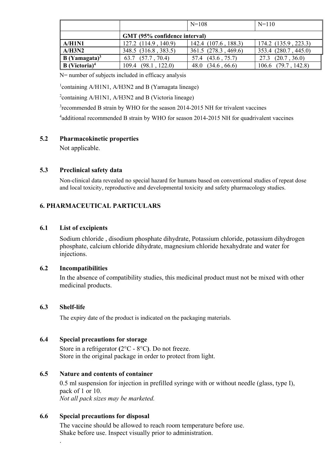|                                  |                               | $N = 108$            | $N=110$                 |
|----------------------------------|-------------------------------|----------------------|-------------------------|
|                                  | GMT (95% confidence interval) |                      |                         |
| A/H1N1                           | 127.2 (114.9, 140.9)          | 142.4 (107.6, 188.3) | 174.2 (135.9, 223.3)    |
| A/H3N2                           | 348.5 (316.8, 383.5)          | 361.5 (278.3, 469.6) | 353.4 (280.7, 445.0)    |
| $B$ (Yamagata) <sup>3</sup>      | 63.7 $(57.7, 70.4)$           | 57.4 (43.6, 75.7)    | $27.3$ $(20.7, 36.0)$   |
| <b>B</b> (Victoria) <sup>4</sup> | (98.1, 122.0)<br>109.4        | (34.6, 66.6)<br>48.0 | $106.6$ $(79.7, 142.8)$ |

N= number of subjects included in efficacy analysis

<sup>1</sup>containing A/H1N1, A/H3N2 and B (Yamagata lineage)

<sup>2</sup>containing A/H1N1, A/H3N2 and B (Victoria lineage)

<sup>3</sup>recommended B strain by WHO for the season 2014-2015 NH for trivalent vaccines

<sup>4</sup>additional recommended B strain by WHO for season 2014-2015 NH for quadrivalent vaccines

## **5.2 Pharmacokinetic properties**

Not applicable.

#### **5.3 Preclinical safety data**

Non-clinical data revealed no special hazard for humans based on conventional studies of repeat dose and local toxicity, reproductive and developmental toxicity and safety pharmacology studies.

# **6. PHARMACEUTICAL PARTICULARS**

#### **6.1 List of excipients**

Sodium chloride , disodium phosphate dihydrate, Potassium chloride, potassium dihydrogen phosphate, calcium chloride dihydrate, magnesium chloride hexahydrate and water for injections.

#### **6.2 Incompatibilities**

In the absence of compatibility studies, this medicinal product must not be mixed with other medicinal products.

#### **6.3 Shelf-life**

.

The expiry date of the product is indicated on the packaging materials.

#### **6.4 Special precautions for storage**

Store in a refrigerator **(**2°C - 8°C**)**. Do not freeze. Store in the original package in order to protect from light.

## **6.5 Nature and contents of container**

0.5 ml suspension for injection in prefilled syringe with or without needle (glass, type I), pack of 1 or 10. *Not all pack sizes may be marketed.*

## **6.6 Special precautions for disposal**

The vaccine should be allowed to reach room temperature before use. Shake before use. Inspect visually prior to administration.